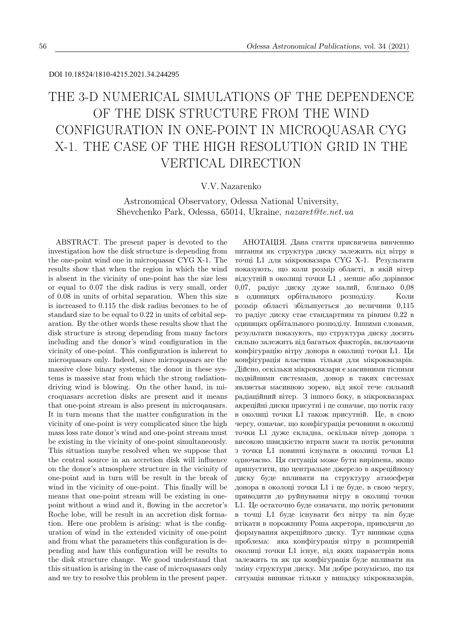#### DOI 10.18524/1810-4215.2021.34.244295

# THE 3-D NUMERICAL SIMULATIONS OF THE DEPENDENCE OF THE DISK STRUCTURE FROM THE WIND CONFIGURATION IN ONE-POINT IN MICROQUASAR CYG X-1. THE CASE OF THE HIGH RESOLUTION GRID IN THE VERTICAL DIRECTION

## V.V. Nazarenko

Astronomical Observatory, Odessa National University, Shevchenko Park, Odessa, 65014, Ukraine, nazaret@te.net.ua

ABSTRACT. The present paper is devoted to the investigation how the disk structure is depending from the one-point wind one in microquasar CYG X-1. The results show that when the region in which the wind is absent in the vicinity of one-point has the size less or equal to 0.07 the disk radius is very small, order of 0.08 in units of orbital separation. When this size is increased to 0.115 the disk radius becomes to be of standard size to be equal to 0.22 in units of orbital separation. By the other words these results show that the disk structure is strong depending from many factors including and the donor's wind configuration in the vicinity of one-point. This configuration is inherent to microquasars only. Indeed, since microqausars are the massive close binary systems; the donor in these systems is massive star from which the strong radiationdriving wind is blowing. On the other hand, in microquasars accretion disks are present and it means that one-point stream is also present in microqausars. It in turn means that the matter configuration in the vicinity of one-point is very complicated since the high mass loss rate donor's wind and one-point stream must be existing in the vicinity of one-point simultaneously. This situation maybe resolved when we suppose that the central source in an accretion disk will influence on the donor's atmosphere structure in the vicinity of one-point and in turn will be result in the break of wind in the vicinity of one-point. This finally will be means that one-point stream will be existing in onepoint without a wind and it, flowing in the accretor's Roche lobe, will be result in an accretion disk formation. Here one problem is arising: what is the configuration of wind in the extended vicinity of one-point and from what the parameters this configuration is depending and haw this configuration will be results to the disk structure change. We good understand that this situation is arising in the case of microquasars only and we try to resolve this problem in the present paper.

АНОТАЦIЯ. Дана стаття присвячена вивченню питання як структура диску залежить вiд вiтру в точцi L1 для мiкроквазара CYG X-1. Результати показують, що коли розмiр областi, в якiй вiтер вiдсутнiй в околицi точки L1 , менше або дорiвнює 0,07, радiус диску дуже малий, близько 0,08 в одиницях орбiтального розподiлу. Коли розмiр областi збiльшується до величини 0,115 то радiус диску стає стандартним та рiвним 0,22 в одиницях орбiтального розподiлу. Iншими словами, результати показують, що структура диску досить сильно залежить вiд багатьох факторiв, включаючи конфiгурацiю вiтру донора в околицi точки L1. Ця конфiгурацiя властива тiльки для мiкроквазарiв. Дiйсно, оскiльки мiкроквазари є масивними тiсними подвiйними системами, донор в таких системах являєтья масивною зорею, вiд якої тече сильний радiацiйний вiтер. З iншого боку, в мiкроквазарах акрецiйнi диски присутнi i це означає, що потiк газу в околицi точки L1 також присутнiй. Це, в свою чергу, означає, що конфiгурацiя речовини в околицi точки L1 дуже складна, оскiльки вiтер донора з високою швидкiстю втрати маси та потiк речовини з точки L1 повиннi iснувати в околицi точки L1 одночасно. Ця ситуацiя може бути вирiшена, якщо припустити, що центральне джерело в акрецiйному диску буде впливати на структуру атмосфери донора в околоцi точки L1 i це буде, в свою чергу, приводити до руйнування вiтру в околицi точки L1. Це остаточно буде означати, що потiк речовини в точцi L1 буде iснувати без вiтру та вiн буде втiкати в порожнину Роша акретора, приводячи до формування акрецiйного диску. Тут виникає одна проблема: яка конфiгурацiя вiтру в розширенiй околицi точки L1 iснує, вiд яких параметрiв вона залежить та як ця конфiгурацiя буде впливати на змiну структури диску. Ми добре розумiємо, що ця ситуацiя виникає тiльки у випадку мiкроквазарiв,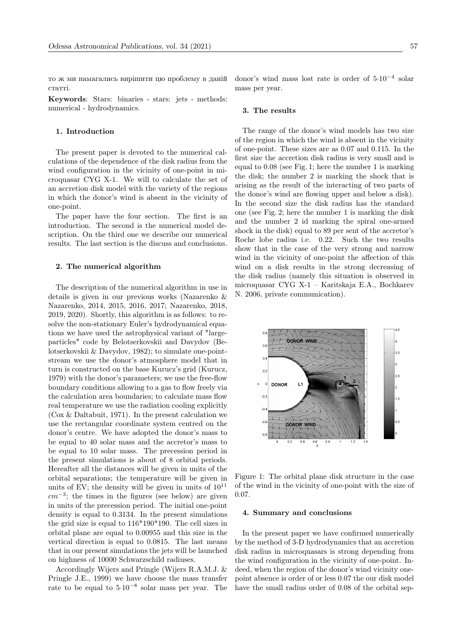то ж ми намагались вирiшити цю проблему в данiй статтi.

Keywords: Stars: binaries - stars: jets - methods: numerical - hydrodynamics.

### 1. Introduction

The present paper is devoted to the numerical calculations of the dependence of the disk radius from the wind configuration in the vicinity of one-point in microquasar CYG X-1. We will to calculate the set of an accretion disk model with the variety of the regions in which the donor's wind is absent in the vicinity of one-point.

The paper have the four section. The first is an introduction. The second is the numerical model description. On the third one we describe our numerical results. The last section is the discuss and conclusions.

### 2. The numerical algorithm

The description of the numerical algorithm in use in details is given in our previous works (Nazarenko & Nazarenko, 2014, 2015, 2016, 2017; Nazarenko, 2018, 2019, 2020). Shortly, this algorithm is as follows: to resolve the non-stationary Euler's hydrodynamical equations we have used the astrophysical variant of "largeparticles" code by Belotserkovskii and Davydov (Belotserkovskii & Davydov, 1982); to simulate one-pointstream we use the donor's atmosphere model that in turn is constructed on the base Kurucz's grid (Kurucz, 1979) with the donor's parameters; we use the free-flow boundary conditions allowing to a gas to flow freely via the calculation area boundaries; to calculate mass flow real temperature we use the radiation cooling explicitly (Cox & Daltabuit, 1971). In the present calculation we use the rectangular coordinate system centred on the donor's centre. We have adopted the donor's mass to be equal to 40 solar mass and the accretor's mass to be equal to 10 solar mass. The precession period in the present simulations is about of 8 orbital periods. Hereafter all the distances will be given in units of the orbital separations; the temperature will be given in units of EV; the density will be given in units of  $10^{11}$  $cm^{-3}$ ; the times in the figures (see below) are given in units of the precession period. The initial one-point density is equal to 0.3134. In the present simulations the grid size is equal to 116\*190\*190. The cell sizes in orbital plane are equal to 0.00955 and this size in the vertical direction is equal to 0.0815. The last means that in our present simulations the jets will be launched on highness of 10000 Schwarzschild radiuses.

Accordingly Wijers and Pringle (Wijers R.A.M.J. & Pringle J.E., 1999) we have choose the mass transfer rate to be equal to 5·10<sup>−</sup><sup>8</sup> solar mass per year. The

donor's wind mass lost rate is order of 5·10−<sup>4</sup> solar mass per year.

#### 3. The results

The range of the donor's wind models has two size of the region in which the wind is absent in the vicinity of one-point. These sizes are as 0.07 and 0.115. In the first size the accretion disk radius is very small and is equal to 0.08 (see Fig. 1; here the number 1 is marking the disk; the number 2 is marking the shock that is arising as the result of the interacting of two parts of the donor's wind are flowing upper and below a disk). In the second size the disk radius has the standard one (see Fig. 2; here the number 1 is marking the disk and the number 2 id marking the spiral one-armed shock in the disk) equal to 89 per sent of the accretor's Roche lobe radius i.e. 0.22. Such the two results show that in the case of the very strong and narrow wind in the vicinity of one-point the affection of this wind on a disk results in the strong decreasing of the disk radius (namely this situation is observed in microquasar CYG X-1 – Karitskaja E.A., Bochkarev N. 2006, private communication).



Figure 1: The orbital plane disk structure in the case of the wind in the vicinity of one-point with the size of 0.07.

#### 4. Summary and conclusions

In the present paper we have confirmed numerically by the method of 3-D hydrodynamics that an accretion disk radius in microquasars is strong depending from the wind configuration in the vicinity of one-point. Indeed, when the region of the donor's wind vicinity onepoint absence is order of or less 0.07 the our disk model have the small radius order of 0.08 of the orbital sep-